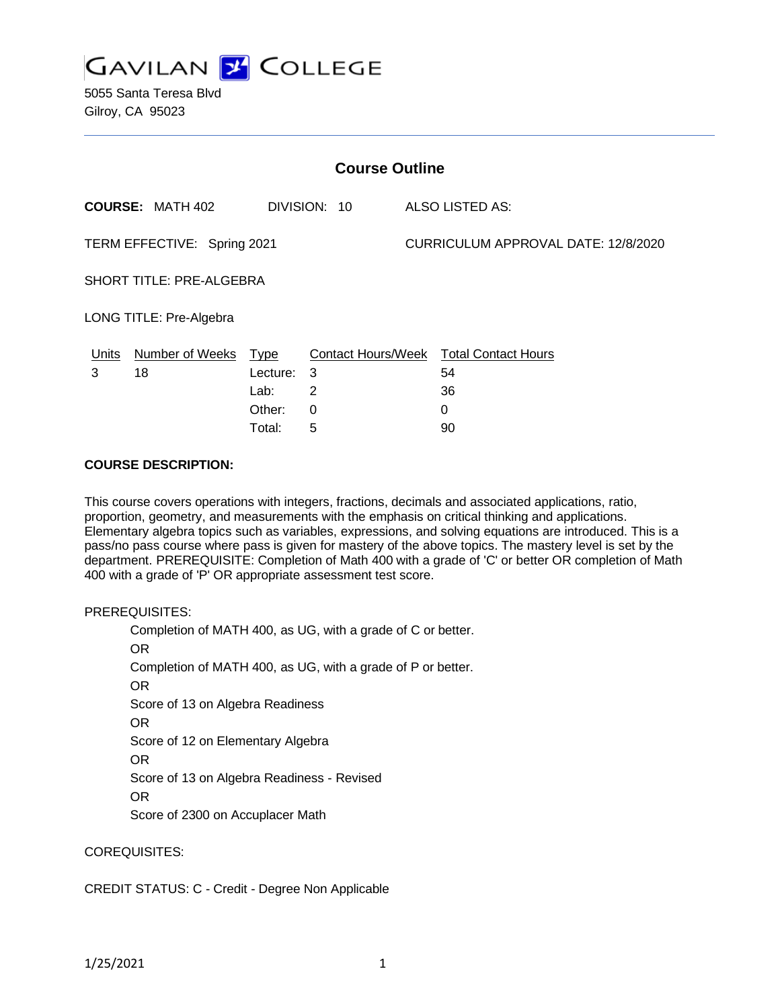

5055 Santa Teresa Blvd Gilroy, CA 95023

| <b>Course Outline</b>           |                         |             |                |                                     |                                        |
|---------------------------------|-------------------------|-------------|----------------|-------------------------------------|----------------------------------------|
|                                 | <b>COURSE: MATH 402</b> |             | DIVISION: 10   |                                     | ALSO LISTED AS:                        |
| TERM EFFECTIVE: Spring 2021     |                         |             |                | CURRICULUM APPROVAL DATE: 12/8/2020 |                                        |
| <b>SHORT TITLE: PRE-ALGEBRA</b> |                         |             |                |                                     |                                        |
| LONG TITLE: Pre-Algebra         |                         |             |                |                                     |                                        |
| Units                           | <b>Number of Weeks</b>  | <b>Type</b> |                |                                     | Contact Hours/Week Total Contact Hours |
| 3                               | 18                      | Lecture:    | - 3            |                                     | 54                                     |
|                                 |                         | Lab:        | $\overline{2}$ |                                     | 36                                     |
|                                 |                         | Other:      | 0              |                                     | 0                                      |
|                                 |                         | Total:      | 5              |                                     | 90                                     |

#### **COURSE DESCRIPTION:**

This course covers operations with integers, fractions, decimals and associated applications, ratio, proportion, geometry, and measurements with the emphasis on critical thinking and applications. Elementary algebra topics such as variables, expressions, and solving equations are introduced. This is a pass/no pass course where pass is given for mastery of the above topics. The mastery level is set by the department. PREREQUISITE: Completion of Math 400 with a grade of 'C' or better OR completion of Math 400 with a grade of 'P' OR appropriate assessment test score.

## PREREQUISITES:

Completion of MATH 400, as UG, with a grade of C or better. OR Completion of MATH 400, as UG, with a grade of P or better. OR Score of 13 on Algebra Readiness OR Score of 12 on Elementary Algebra OR Score of 13 on Algebra Readiness - Revised OR Score of 2300 on Accuplacer Math

## COREQUISITES:

## CREDIT STATUS: C - Credit - Degree Non Applicable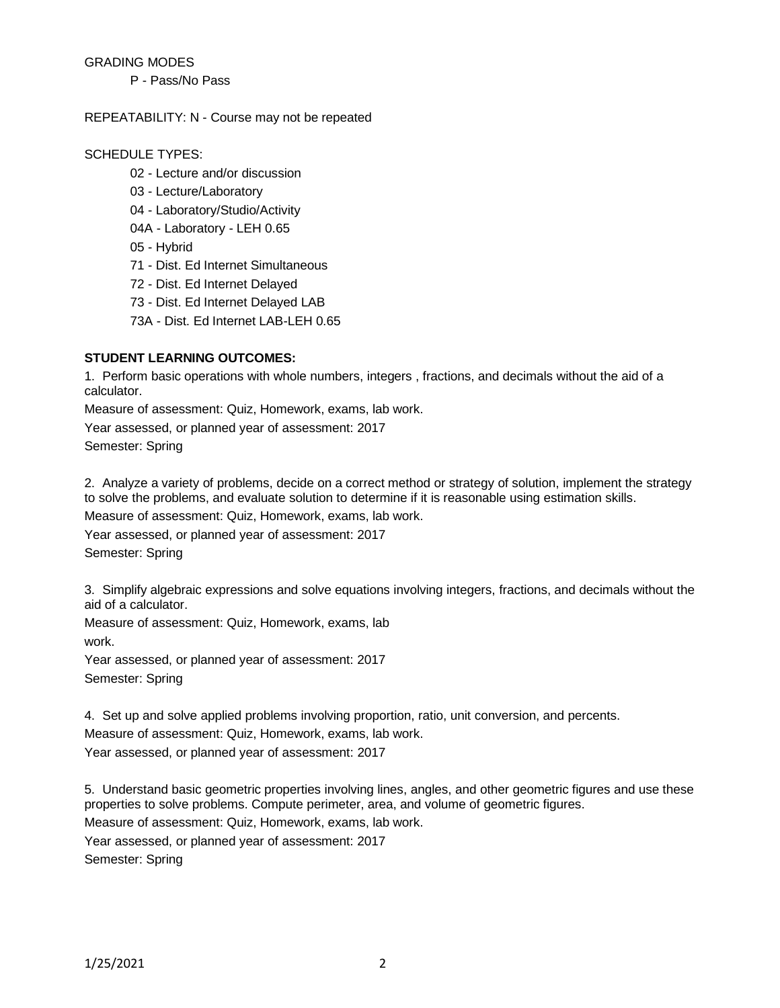## GRADING MODES

P - Pass/No Pass

#### REPEATABILITY: N - Course may not be repeated

#### SCHEDULE TYPES:

- 02 Lecture and/or discussion
- 03 Lecture/Laboratory
- 04 Laboratory/Studio/Activity
- 04A Laboratory LEH 0.65
- 05 Hybrid
- 71 Dist. Ed Internet Simultaneous
- 72 Dist. Ed Internet Delayed
- 73 Dist. Ed Internet Delayed LAB
- 73A Dist. Ed Internet LAB-LEH 0.65

# **STUDENT LEARNING OUTCOMES:**

1. Perform basic operations with whole numbers, integers , fractions, and decimals without the aid of a calculator.

Measure of assessment: Quiz, Homework, exams, lab work.

Year assessed, or planned year of assessment: 2017 Semester: Spring

2. Analyze a variety of problems, decide on a correct method or strategy of solution, implement the strategy to solve the problems, and evaluate solution to determine if it is reasonable using estimation skills.

Measure of assessment: Quiz, Homework, exams, lab work.

Year assessed, or planned year of assessment: 2017

Semester: Spring

3. Simplify algebraic expressions and solve equations involving integers, fractions, and decimals without the aid of a calculator.

Measure of assessment: Quiz, Homework, exams, lab

work.

Year assessed, or planned year of assessment: 2017 Semester: Spring

4. Set up and solve applied problems involving proportion, ratio, unit conversion, and percents.

Measure of assessment: Quiz, Homework, exams, lab work. Year assessed, or planned year of assessment: 2017

5. Understand basic geometric properties involving lines, angles, and other geometric figures and use these properties to solve problems. Compute perimeter, area, and volume of geometric figures.

Measure of assessment: Quiz, Homework, exams, lab work.

Year assessed, or planned year of assessment: 2017

Semester: Spring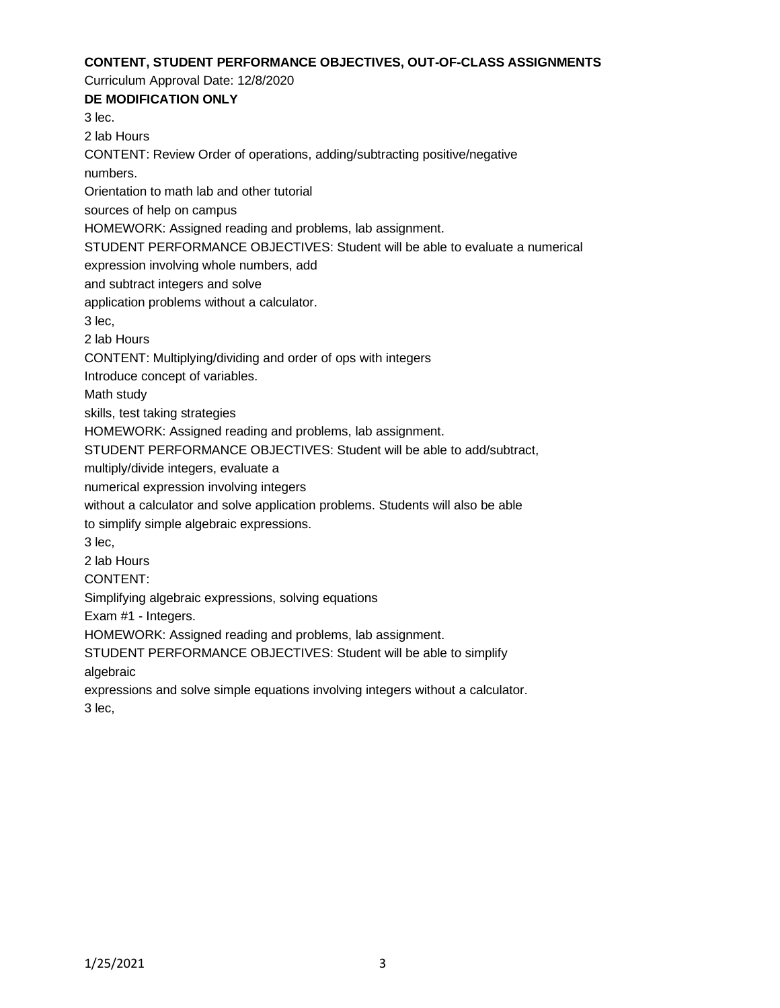#### **CONTENT, STUDENT PERFORMANCE OBJECTIVES, OUT-OF-CLASS ASSIGNMENTS**

Curriculum Approval Date: 12/8/2020

**DE MODIFICATION ONLY** 3 lec. 2 lab Hours CONTENT: Review Order of operations, adding/subtracting positive/negative numbers. Orientation to math lab and other tutorial sources of help on campus HOMEWORK: Assigned reading and problems, lab assignment. STUDENT PERFORMANCE OBJECTIVES: Student will be able to evaluate a numerical expression involving whole numbers, add and subtract integers and solve application problems without a calculator. 3 lec, 2 lab Hours CONTENT: Multiplying/dividing and order of ops with integers Introduce concept of variables. Math study skills, test taking strategies HOMEWORK: Assigned reading and problems, lab assignment. STUDENT PERFORMANCE OBJECTIVES: Student will be able to add/subtract, multiply/divide integers, evaluate a numerical expression involving integers without a calculator and solve application problems. Students will also be able to simplify simple algebraic expressions. 3 lec, 2 lab Hours CONTENT: Simplifying algebraic expressions, solving equations Exam #1 - Integers. HOMEWORK: Assigned reading and problems, lab assignment.

STUDENT PERFORMANCE OBJECTIVES: Student will be able to simplify

algebraic

expressions and solve simple equations involving integers without a calculator. 3 lec,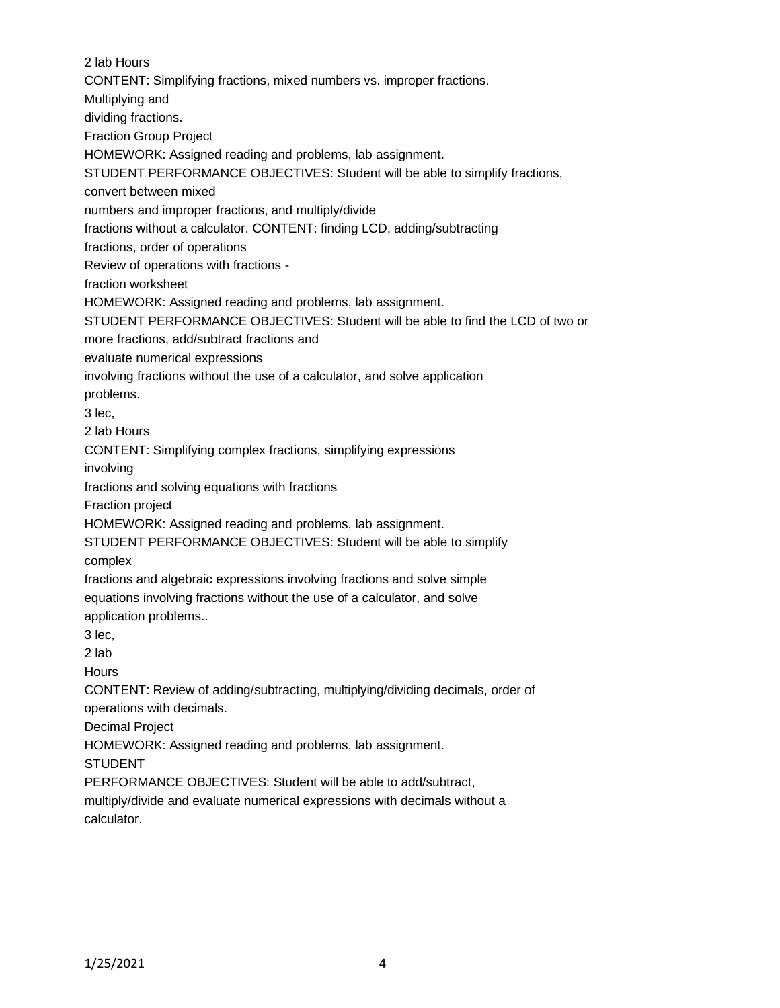2 lab Hours CONTENT: Simplifying fractions, mixed numbers vs. improper fractions. Multiplying and dividing fractions. Fraction Group Project HOMEWORK: Assigned reading and problems, lab assignment. STUDENT PERFORMANCE OBJECTIVES: Student will be able to simplify fractions, convert between mixed numbers and improper fractions, and multiply/divide fractions without a calculator. CONTENT: finding LCD, adding/subtracting fractions, order of operations Review of operations with fractions fraction worksheet HOMEWORK: Assigned reading and problems, lab assignment. STUDENT PERFORMANCE OBJECTIVES: Student will be able to find the LCD of two or more fractions, add/subtract fractions and evaluate numerical expressions involving fractions without the use of a calculator, and solve application problems. 3 lec, 2 lab Hours CONTENT: Simplifying complex fractions, simplifying expressions involving fractions and solving equations with fractions Fraction project HOMEWORK: Assigned reading and problems, lab assignment. STUDENT PERFORMANCE OBJECTIVES: Student will be able to simplify complex fractions and algebraic expressions involving fractions and solve simple equations involving fractions without the use of a calculator, and solve application problems.. 3 lec, 2 lab **Hours** CONTENT: Review of adding/subtracting, multiplying/dividing decimals, order of operations with decimals. Decimal Project HOMEWORK: Assigned reading and problems, lab assignment. STUDENT PERFORMANCE OBJECTIVES: Student will be able to add/subtract, multiply/divide and evaluate numerical expressions with decimals without a calculator.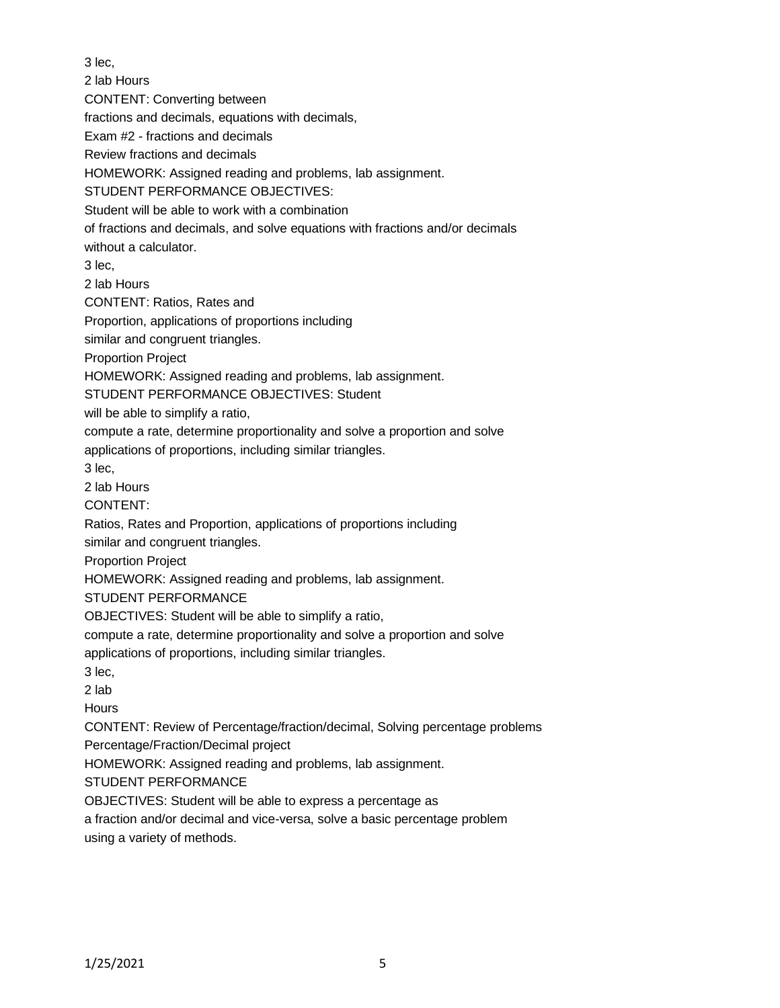3 lec, 2 lab Hours CONTENT: Converting between fractions and decimals, equations with decimals, Exam #2 - fractions and decimals Review fractions and decimals HOMEWORK: Assigned reading and problems, lab assignment. STUDENT PERFORMANCE OBJECTIVES: Student will be able to work with a combination of fractions and decimals, and solve equations with fractions and/or decimals without a calculator. 3 lec, 2 lab Hours CONTENT: Ratios, Rates and Proportion, applications of proportions including similar and congruent triangles. Proportion Project HOMEWORK: Assigned reading and problems, lab assignment. STUDENT PERFORMANCE OBJECTIVES: Student will be able to simplify a ratio, compute a rate, determine proportionality and solve a proportion and solve applications of proportions, including similar triangles. 3 lec, 2 lab Hours CONTENT: Ratios, Rates and Proportion, applications of proportions including similar and congruent triangles. Proportion Project HOMEWORK: Assigned reading and problems, lab assignment. STUDENT PERFORMANCE OBJECTIVES: Student will be able to simplify a ratio, compute a rate, determine proportionality and solve a proportion and solve applications of proportions, including similar triangles. 3 lec, 2 lab **Hours** CONTENT: Review of Percentage/fraction/decimal, Solving percentage problems Percentage/Fraction/Decimal project HOMEWORK: Assigned reading and problems, lab assignment. STUDENT PERFORMANCE OBJECTIVES: Student will be able to express a percentage as a fraction and/or decimal and vice-versa, solve a basic percentage problem using a variety of methods.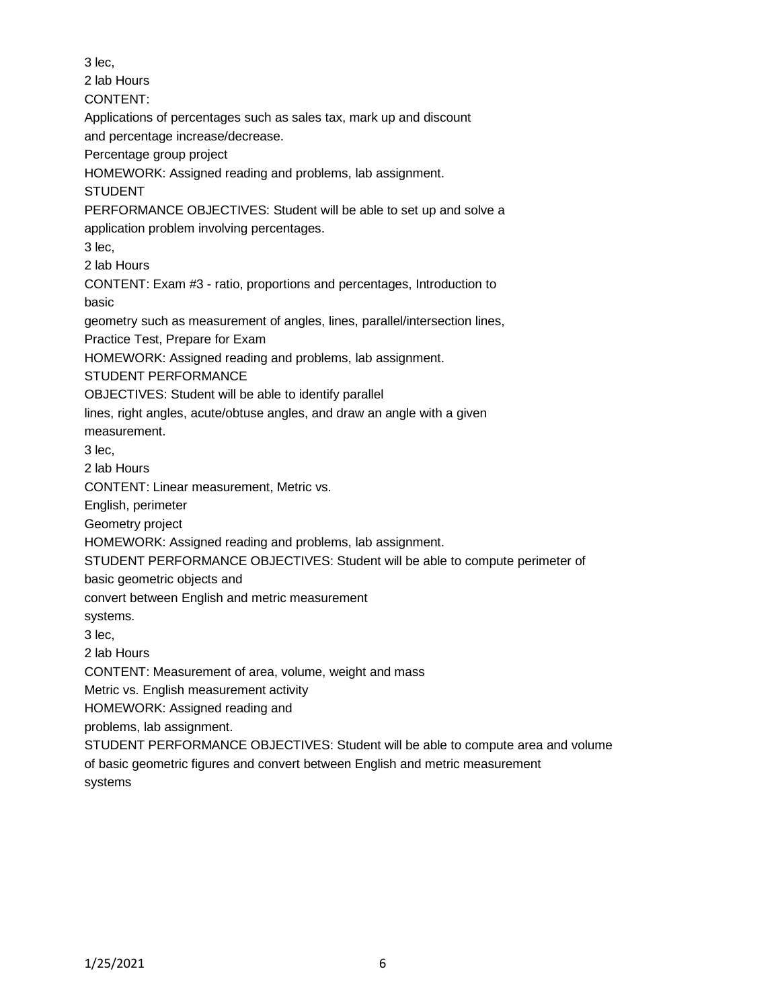3 lec,

2 lab Hours

CONTENT:

Applications of percentages such as sales tax, mark up and discount

and percentage increase/decrease.

Percentage group project

HOMEWORK: Assigned reading and problems, lab assignment.

STUDENT

PERFORMANCE OBJECTIVES: Student will be able to set up and solve a

application problem involving percentages.

3 lec,

2 lab Hours

CONTENT: Exam #3 - ratio, proportions and percentages, Introduction to basic

geometry such as measurement of angles, lines, parallel/intersection lines,

Practice Test, Prepare for Exam

HOMEWORK: Assigned reading and problems, lab assignment.

STUDENT PERFORMANCE

OBJECTIVES: Student will be able to identify parallel

lines, right angles, acute/obtuse angles, and draw an angle with a given

measurement.

3 lec,

2 lab Hours

CONTENT: Linear measurement, Metric vs.

English, perimeter

Geometry project

HOMEWORK: Assigned reading and problems, lab assignment.

STUDENT PERFORMANCE OBJECTIVES: Student will be able to compute perimeter of

basic geometric objects and

convert between English and metric measurement

systems.

3 lec,

2 lab Hours

CONTENT: Measurement of area, volume, weight and mass

Metric vs. English measurement activity

HOMEWORK: Assigned reading and

problems, lab assignment.

STUDENT PERFORMANCE OBJECTIVES: Student will be able to compute area and volume of basic geometric figures and convert between English and metric measurement systems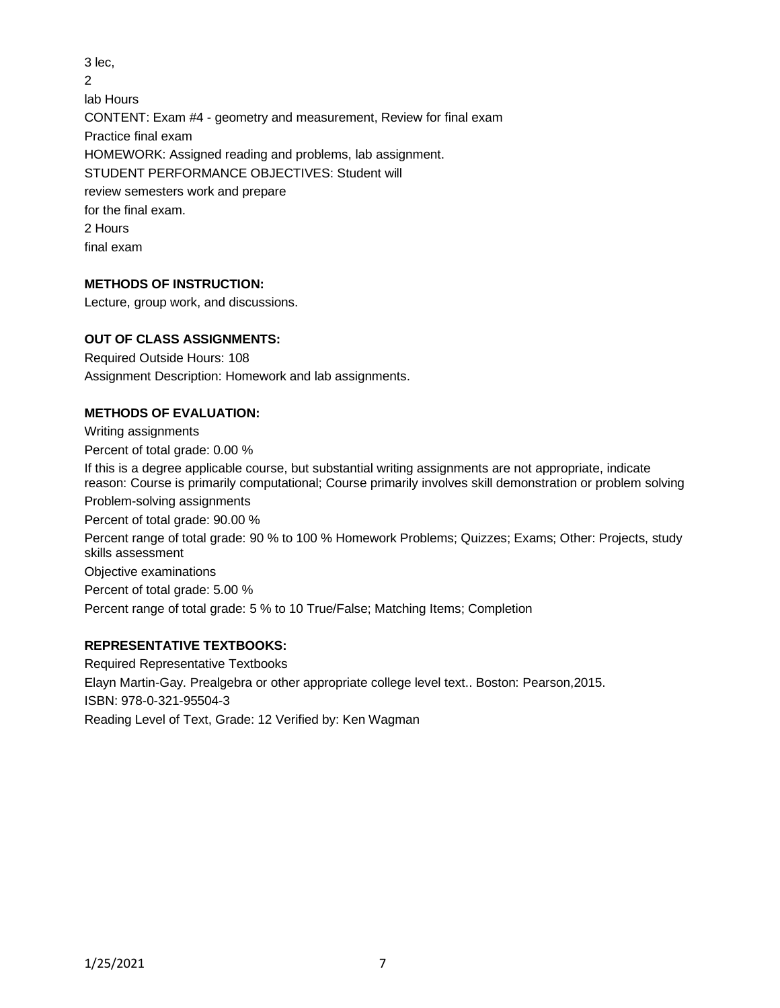3 lec,  $\mathfrak{p}$ lab Hours CONTENT: Exam #4 - geometry and measurement, Review for final exam Practice final exam HOMEWORK: Assigned reading and problems, lab assignment. STUDENT PERFORMANCE OBJECTIVES: Student will review semesters work and prepare for the final exam. 2 Hours final exam

# **METHODS OF INSTRUCTION:**

Lecture, group work, and discussions.

## **OUT OF CLASS ASSIGNMENTS:**

Required Outside Hours: 108 Assignment Description: Homework and lab assignments.

## **METHODS OF EVALUATION:**

Writing assignments Percent of total grade: 0.00 % If this is a degree applicable course, but substantial writing assignments are not appropriate, indicate reason: Course is primarily computational; Course primarily involves skill demonstration or problem solving Problem-solving assignments Percent of total grade: 90.00 % Percent range of total grade: 90 % to 100 % Homework Problems; Quizzes; Exams; Other: Projects, study skills assessment Objective examinations Percent of total grade: 5.00 % Percent range of total grade: 5 % to 10 True/False; Matching Items; Completion

# **REPRESENTATIVE TEXTBOOKS:**

Required Representative Textbooks Elayn Martin-Gay. Prealgebra or other appropriate college level text.. Boston: Pearson,2015. ISBN: 978-0-321-95504-3 Reading Level of Text, Grade: 12 Verified by: Ken Wagman